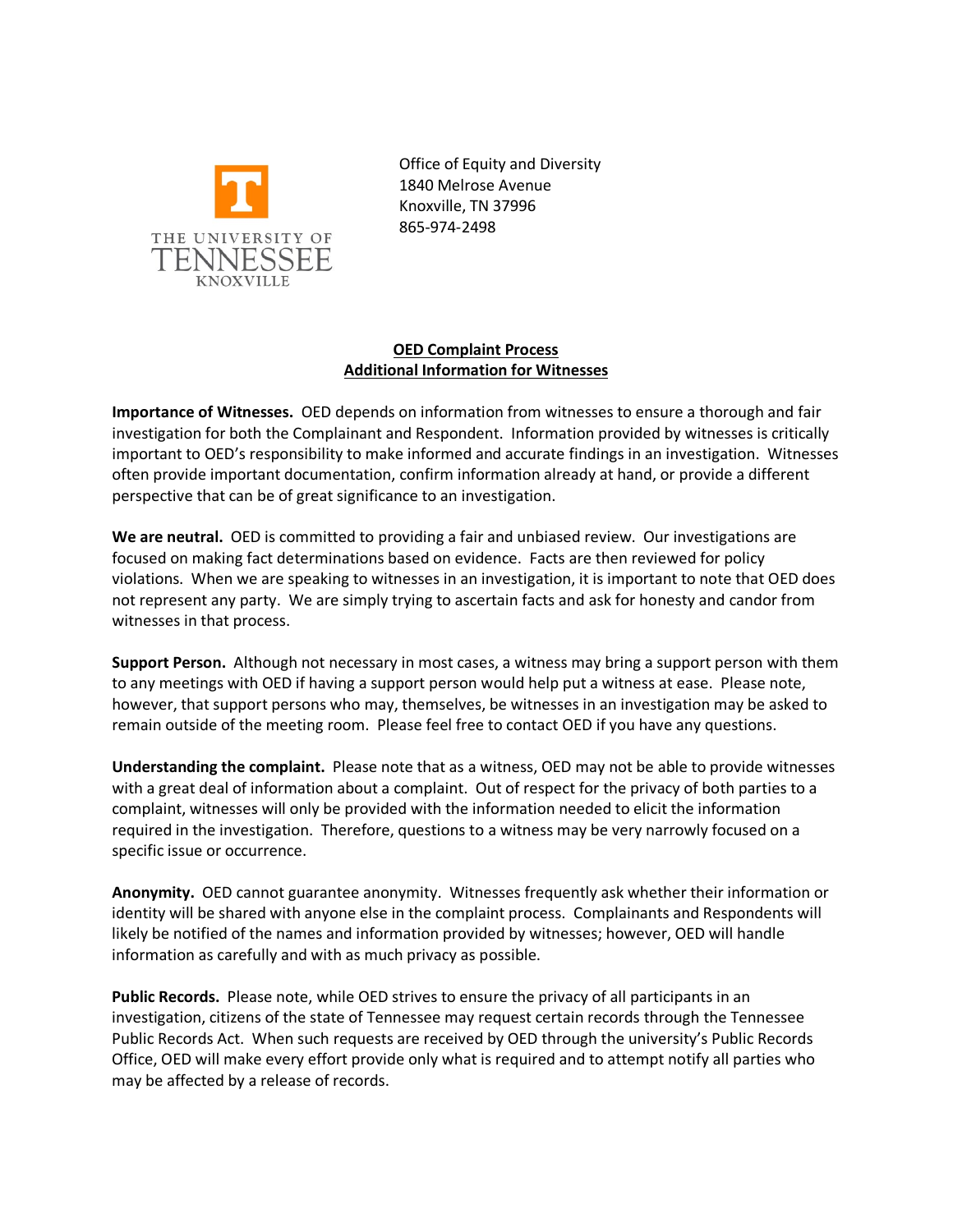

Office of Equity and Diversity 1840 Melrose Avenue Knoxville, TN 37996 865-974-2498

## **OED Complaint Process Additional Information for Witnesses**

**Importance of Witnesses.** OED depends on information from witnesses to ensure a thorough and fair investigation for both the Complainant and Respondent. Information provided by witnesses is critically important to OED's responsibility to make informed and accurate findings in an investigation. Witnesses often provide important documentation, confirm information already at hand, or provide a different perspective that can be of great significance to an investigation.

**We are neutral.** OED is committed to providing a fair and unbiased review. Our investigations are focused on making fact determinations based on evidence. Facts are then reviewed for policy violations. When we are speaking to witnesses in an investigation, it is important to note that OED does not represent any party. We are simply trying to ascertain facts and ask for honesty and candor from witnesses in that process.

**Support Person.** Although not necessary in most cases, a witness may bring a support person with them to any meetings with OED if having a support person would help put a witness at ease. Please note, however, that support persons who may, themselves, be witnesses in an investigation may be asked to remain outside of the meeting room. Please feel free to contact OED if you have any questions.

**Understanding the complaint.** Please note that as a witness, OED may not be able to provide witnesses with a great deal of information about a complaint. Out of respect for the privacy of both parties to a complaint, witnesses will only be provided with the information needed to elicit the information required in the investigation. Therefore, questions to a witness may be very narrowly focused on a specific issue or occurrence.

**Anonymity.** OED cannot guarantee anonymity. Witnesses frequently ask whether their information or identity will be shared with anyone else in the complaint process. Complainants and Respondents will likely be notified of the names and information provided by witnesses; however, OED will handle information as carefully and with as much privacy as possible.

**Public Records.** Please note, while OED strives to ensure the privacy of all participants in an investigation, citizens of the state of Tennessee may request certain records through the Tennessee Public Records Act. When such requests are received by OED through the university's Public Records Office, OED will make every effort provide only what is required and to attempt notify all parties who may be affected by a release of records.